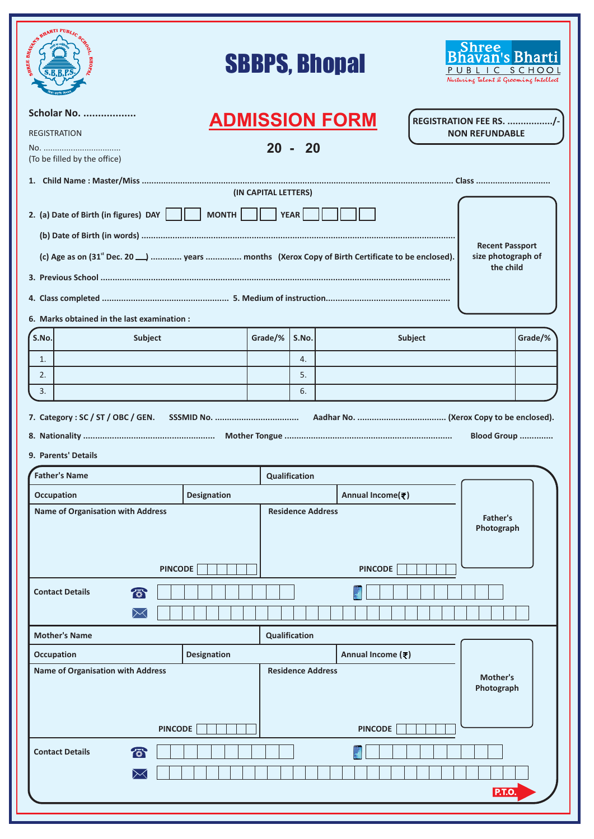| <b>ATI PUBLIC ATT PUBLIC</b>                                                                                         |                    |                      |                          | <b>SBBPS, Bhopal</b>  |         | havan's Bharti<br>PUBLIC SCHOOL<br>Nurturing Talent & Grooming Intellect |         |
|----------------------------------------------------------------------------------------------------------------------|--------------------|----------------------|--------------------------|-----------------------|---------|--------------------------------------------------------------------------|---------|
| Scholar No.                                                                                                          |                    |                      |                          | <b>ADMISSION FORM</b> |         | <b>REGISTRATION FEE RS. /-</b>                                           |         |
| <b>REGISTRATION</b>                                                                                                  |                    |                      |                          |                       |         | <b>NON REFUNDABLE</b>                                                    |         |
| (To be filled by the office)                                                                                         |                    |                      | $20 - 20$                |                       |         |                                                                          |         |
|                                                                                                                      |                    |                      |                          |                       |         |                                                                          |         |
|                                                                                                                      |                    | (IN CAPITAL LETTERS) |                          |                       |         |                                                                          |         |
| 2. (a) Date of Birth (in figures) DAY $\ \cdot\ $                                                                    | MONTH              |                      | YEAR                     |                       |         |                                                                          |         |
|                                                                                                                      |                    |                      |                          |                       |         | <b>Recent Passport</b>                                                   |         |
| (c) Age as on (31 <sup>st</sup> Dec. 20 <sup>1</sup> years  months (Xerox Copy of Birth Certificate to be enclosed). |                    |                      |                          |                       |         | size photograph of<br>the child                                          |         |
|                                                                                                                      |                    |                      |                          |                       |         |                                                                          |         |
|                                                                                                                      |                    |                      |                          |                       |         |                                                                          |         |
| 6. Marks obtained in the last examination :<br>S.No.<br>Subject                                                      |                    | Grade/%              | S.No.                    |                       | Subject |                                                                          | Grade/% |
| $\mathbf{1}$ .                                                                                                       |                    |                      | 4.                       |                       |         |                                                                          |         |
| 2.                                                                                                                   |                    |                      | 5.                       |                       |         |                                                                          |         |
| 3.                                                                                                                   |                    |                      | 6.                       |                       |         |                                                                          |         |
| 9. Parents' Details<br><b>Father's Name</b>                                                                          |                    |                      | <b>Qualification</b>     |                       |         | Blood Group                                                              |         |
| <b>Occupation</b>                                                                                                    | <b>Designation</b> |                      |                          | Annual Income(₹)      |         |                                                                          |         |
| <b>Name of Organisation with Address</b>                                                                             |                    |                      | <b>Residence Address</b> |                       |         |                                                                          |         |
| <b>PINCODE</b>                                                                                                       |                    |                      |                          | <b>PINCODE</b>        |         | <b>Father's</b><br>Photograph                                            |         |
|                                                                                                                      |                    |                      |                          |                       |         |                                                                          |         |
| $\sqrt{2}$<br><b>Contact Details</b><br>$\Join$                                                                      |                    |                      |                          |                       |         |                                                                          |         |
| <b>Mother's Name</b>                                                                                                 |                    |                      | <b>Qualification</b>     |                       |         |                                                                          |         |
| Occupation                                                                                                           | <b>Designation</b> |                      |                          | Annual Income (₹)     |         |                                                                          |         |
| <b>Name of Organisation with Address</b>                                                                             |                    |                      | <b>Residence Address</b> |                       |         | Mother's<br>Photograph                                                   |         |
| <b>PINCODE</b>                                                                                                       |                    |                      |                          | <b>PINCODE</b>        |         |                                                                          |         |
| <b>Contact Details</b><br>衙<br>$\Join$                                                                               |                    |                      |                          |                       |         |                                                                          |         |
|                                                                                                                      |                    |                      |                          |                       |         | <b>P.T.O.</b>                                                            |         |